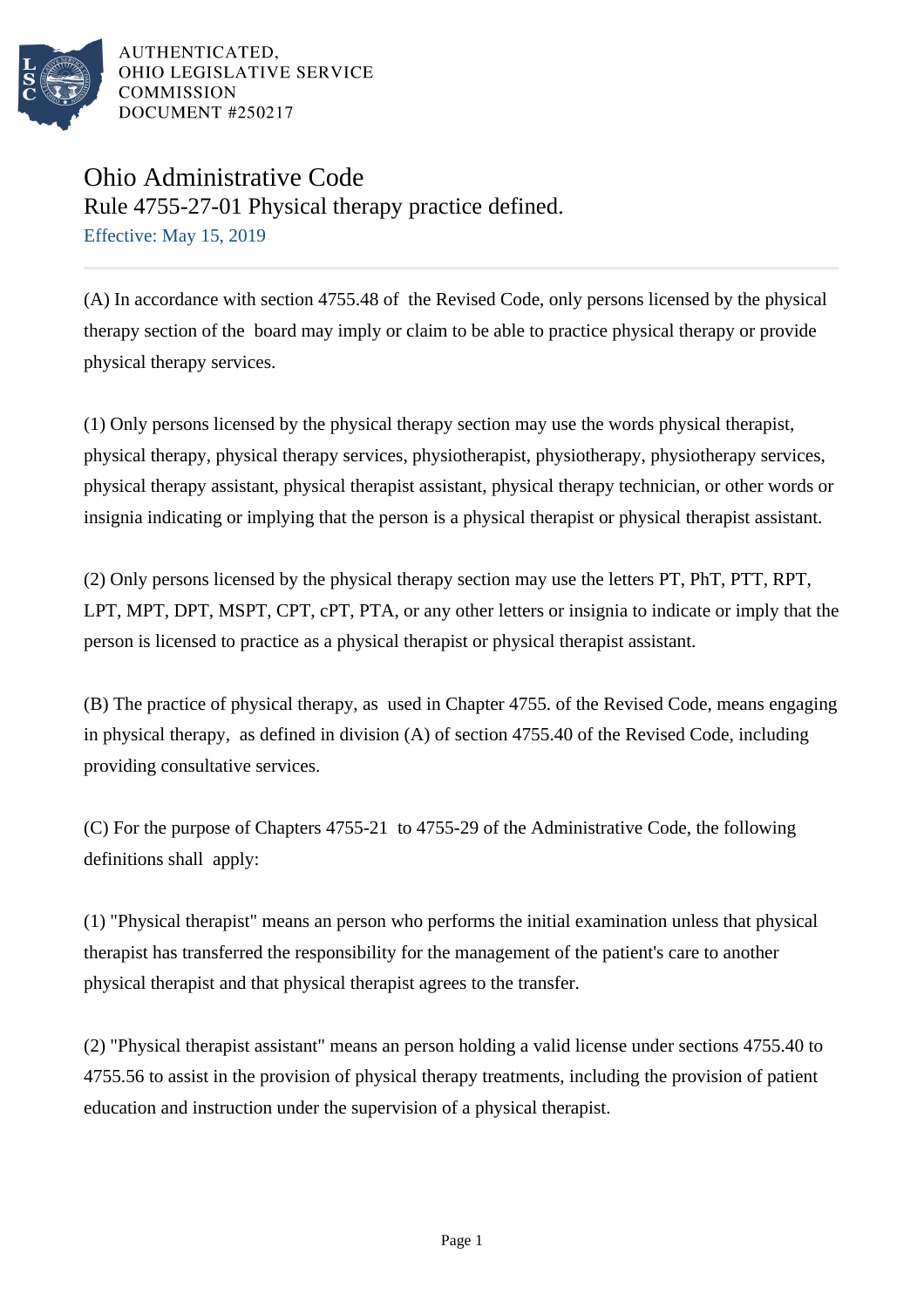

AUTHENTICATED. OHIO LEGISLATIVE SERVICE **COMMISSION** DOCUMENT #250217

## Ohio Administrative Code Rule 4755-27-01 Physical therapy practice defined. Effective: May 15, 2019

(A) In accordance with section 4755.48 of the Revised Code, only persons licensed by the physical therapy section of the board may imply or claim to be able to practice physical therapy or provide physical therapy services.

(1) Only persons licensed by the physical therapy section may use the words physical therapist, physical therapy, physical therapy services, physiotherapist, physiotherapy, physiotherapy services, physical therapy assistant, physical therapist assistant, physical therapy technician, or other words or insignia indicating or implying that the person is a physical therapist or physical therapist assistant.

(2) Only persons licensed by the physical therapy section may use the letters PT, PhT, PTT, RPT, LPT, MPT, DPT, MSPT, CPT, cPT, PTA, or any other letters or insignia to indicate or imply that the person is licensed to practice as a physical therapist or physical therapist assistant.

(B) The practice of physical therapy, as used in Chapter 4755. of the Revised Code, means engaging in physical therapy, as defined in division (A) of section 4755.40 of the Revised Code, including providing consultative services.

(C) For the purpose of Chapters 4755-21 to 4755-29 of the Administrative Code, the following definitions shall apply:

(1) "Physical therapist" means an person who performs the initial examination unless that physical therapist has transferred the responsibility for the management of the patient's care to another physical therapist and that physical therapist agrees to the transfer.

(2) "Physical therapist assistant" means an person holding a valid license under sections 4755.40 to 4755.56 to assist in the provision of physical therapy treatments, including the provision of patient education and instruction under the supervision of a physical therapist.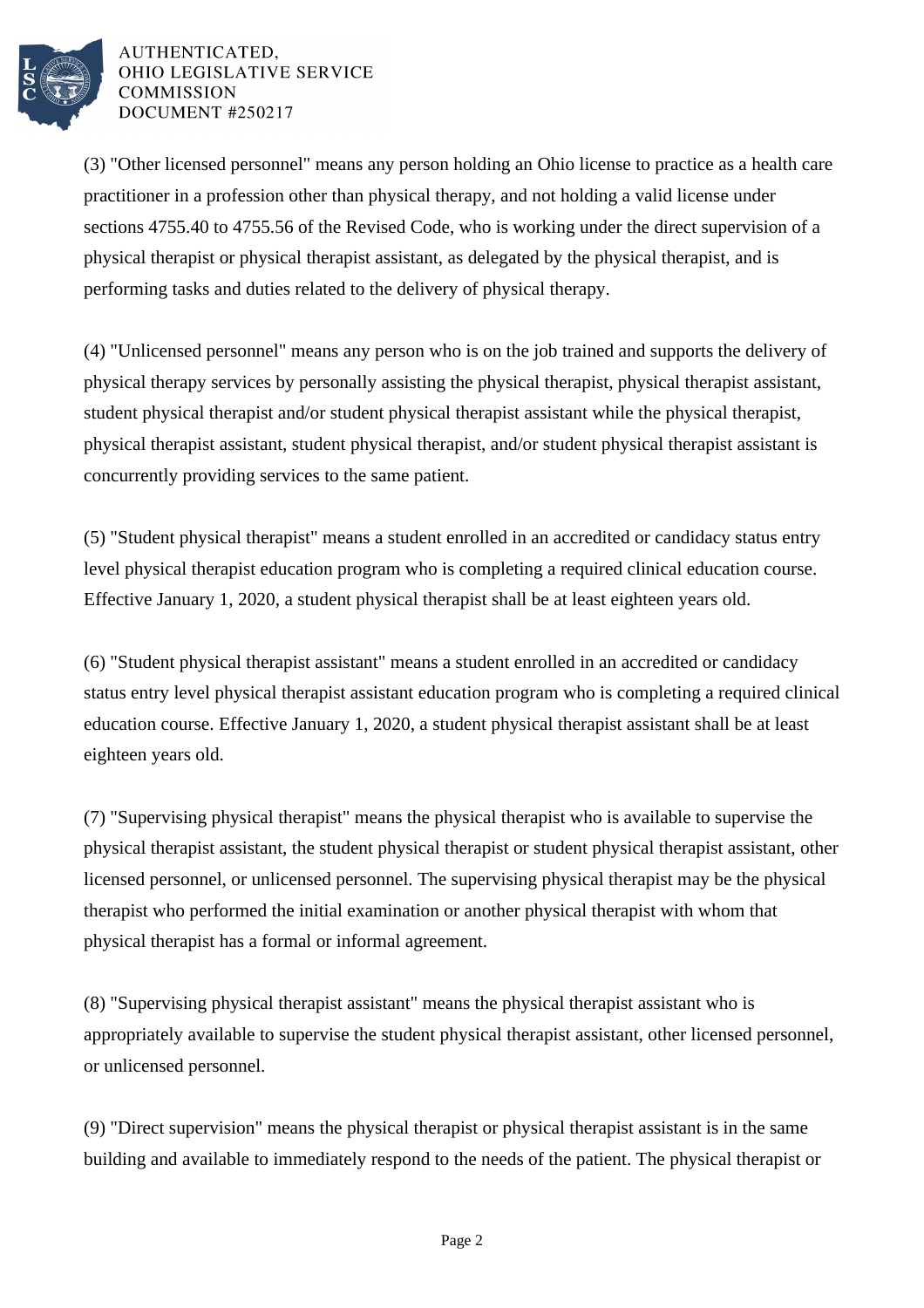

## AUTHENTICATED. OHIO LEGISLATIVE SERVICE **COMMISSION** DOCUMENT #250217

(3) "Other licensed personnel" means any person holding an Ohio license to practice as a health care practitioner in a profession other than physical therapy, and not holding a valid license under sections 4755.40 to 4755.56 of the Revised Code, who is working under the direct supervision of a physical therapist or physical therapist assistant, as delegated by the physical therapist, and is performing tasks and duties related to the delivery of physical therapy.

(4) "Unlicensed personnel" means any person who is on the job trained and supports the delivery of physical therapy services by personally assisting the physical therapist, physical therapist assistant, student physical therapist and/or student physical therapist assistant while the physical therapist, physical therapist assistant, student physical therapist, and/or student physical therapist assistant is concurrently providing services to the same patient.

(5) "Student physical therapist" means a student enrolled in an accredited or candidacy status entry level physical therapist education program who is completing a required clinical education course. Effective January 1, 2020, a student physical therapist shall be at least eighteen years old.

(6) "Student physical therapist assistant" means a student enrolled in an accredited or candidacy status entry level physical therapist assistant education program who is completing a required clinical education course. Effective January 1, 2020, a student physical therapist assistant shall be at least eighteen years old.

(7) "Supervising physical therapist" means the physical therapist who is available to supervise the physical therapist assistant, the student physical therapist or student physical therapist assistant, other licensed personnel, or unlicensed personnel. The supervising physical therapist may be the physical therapist who performed the initial examination or another physical therapist with whom that physical therapist has a formal or informal agreement.

 $(8)$  "Supervising physical therapist assistant" means the physical therapist assistant who is appropriately available to supervise the student physical therapist assistant, other licensed personnel, or unlicensed personnel.

(9) "Direct supervision" means the physical therapist or physical therapist assistant is in the same building and available to immediately respond to the needs of the patient. The physical therapist or